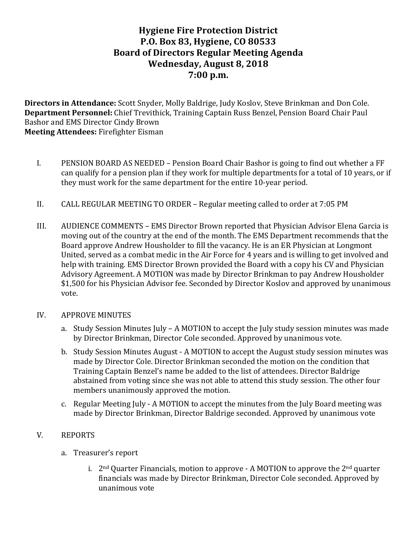# **Hygiene Fire Protection District P.O. Box 83, Hygiene, CO 80533 Board of Directors Regular Meeting Agenda Wednesday, August 8, 2018 7:00 p.m.**

**Directors in Attendance:** Scott Snyder, Molly Baldrige, Judy Koslov, Steve Brinkman and Don Cole. **Department Personnel:** Chief Trevithick, Training Captain Russ Benzel, Pension Board Chair Paul Bashor and EMS Director Cindy Brown **Meeting Attendees: Firefighter Eisman** 

- I. PENSION BOARD AS NEEDED Pension Board Chair Bashor is going to find out whether a FF can qualify for a pension plan if they work for multiple departments for a total of 10 years, or if they must work for the same department for the entire 10-year period.
- II. CALL REGULAR MEETING TO ORDER Regular meeting called to order at 7:05 PM
- III. AUDIENCE COMMENTS EMS Director Brown reported that Physician Advisor Elena Garcia is moving out of the country at the end of the month. The EMS Department recommends that the Board approve Andrew Housholder to fill the vacancy. He is an ER Physician at Longmont United, served as a combat medic in the Air Force for 4 years and is willing to get involved and help with training. EMS Director Brown provided the Board with a copy his CV and Physician Advisory Agreement. A MOTION was made by Director Brinkman to pay Andrew Housholder \$1,500 for his Physician Advisor fee. Seconded by Director Koslov and approved by unanimous vote.
- IV. APPROVE MINUTES
	- a. Study Session Minutes July A MOTION to accept the July study session minutes was made by Director Brinkman, Director Cole seconded. Approved by unanimous vote.
	- b. Study Session Minutes August A MOTION to accept the August study session minutes was made by Director Cole. Director Brinkman seconded the motion on the condition that Training Captain Benzel's name be added to the list of attendees. Director Baldrige abstained from voting since she was not able to attend this study session. The other four members unanimously approved the motion.
	- c. Regular Meeting  $\text{July A MOTION}$  to accept the minutes from the  $\text{July Board meeting was}$ made by Director Brinkman, Director Baldrige seconded. Approved by unanimous vote

#### V. REPORTS

- a. Treasurer's report
	- i.  $2<sup>nd</sup>$  Quarter Financials, motion to approve A MOTION to approve the  $2<sup>nd</sup>$  quarter financials was made by Director Brinkman, Director Cole seconded. Approved by unanimous vote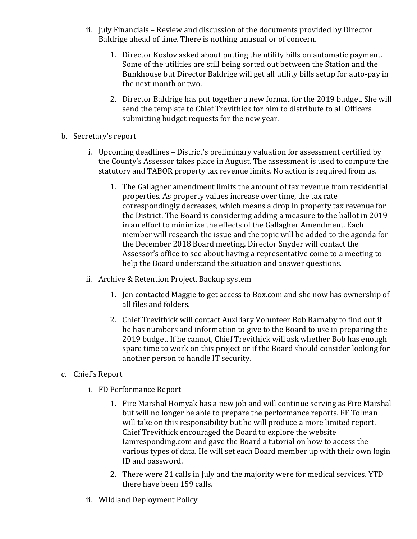- ii. July Financials Review and discussion of the documents provided by Director Baldrige ahead of time. There is nothing unusual or of concern.
	- 1. Director Koslov asked about putting the utility bills on automatic payment. Some of the utilities are still being sorted out between the Station and the Bunkhouse but Director Baldrige will get all utility bills setup for auto-pay in the next month or two.
	- 2. Director Baldrige has put together a new format for the 2019 budget. She will send the template to Chief Trevithick for him to distribute to all Officers submitting budget requests for the new year.
- b. Secretary's report
	- i. Upcoming deadlines District's preliminary valuation for assessment certified by the County's Assessor takes place in August. The assessment is used to compute the statutory and TABOR property tax revenue limits. No action is required from us.
		- 1. The Gallagher amendment limits the amount of tax revenue from residential properties. As property values increase over time, the tax rate correspondingly decreases, which means a drop in property tax revenue for the District. The Board is considering adding a measure to the ballot in 2019 in an effort to minimize the effects of the Gallagher Amendment. Each member will research the issue and the topic will be added to the agenda for the December 2018 Board meeting. Director Snyder will contact the Assessor's office to see about having a representative come to a meeting to help the Board understand the situation and answer questions.
	- ii. Archive & Retention Project, Backup system
		- 1. Jen contacted Maggie to get access to Box.com and she now has ownership of all files and folders.
		- 2. Chief Trevithick will contact Auxiliary Volunteer Bob Barnaby to find out if he has numbers and information to give to the Board to use in preparing the 2019 budget. If he cannot, Chief Trevithick will ask whether Bob has enough spare time to work on this project or if the Board should consider looking for another person to handle IT security.
- c. Chief's Report
	- i. FD Performance Report
		- 1. Fire Marshal Homyak has a new job and will continue serving as Fire Marshal but will no longer be able to prepare the performance reports. FF Tolman will take on this responsibility but he will produce a more limited report. Chief Trevithick encouraged the Board to explore the website Iamresponding.com and gave the Board a tutorial on how to access the various types of data. He will set each Board member up with their own login ID and password.
		- 2. There were 21 calls in July and the majority were for medical services. YTD there have been 159 calls.
	- ii. Wildland Deployment Policy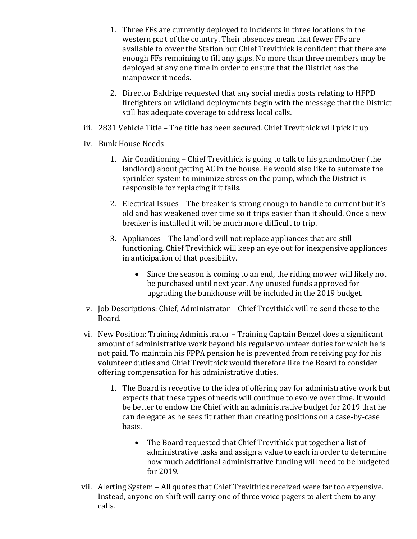- 1. Three FFs are currently deployed to incidents in three locations in the western part of the country. Their absences mean that fewer FFs are available to cover the Station but Chief Trevithick is confident that there are enough FFs remaining to fill any gaps. No more than three members may be deployed at any one time in order to ensure that the District has the manpower it needs.
- 2. Director Baldrige requested that any social media posts relating to HFPD firefighters on wildland deployments begin with the message that the District still has adequate coverage to address local calls.
- iii. 2831 Vehicle Title The title has been secured. Chief Trevithick will pick it up
- iv. Bunk House Needs
	- 1. Air Conditioning Chief Trevithick is going to talk to his grandmother (the landlord) about getting AC in the house. He would also like to automate the sprinkler system to minimize stress on the pump, which the District is responsible for replacing if it fails.
	- 2. Electrical Issues The breaker is strong enough to handle to current but it's old and has weakened over time so it trips easier than it should. Once a new breaker is installed it will be much more difficult to trip.
	- 3. Appliances The landlord will not replace appliances that are still functioning. Chief Trevithick will keep an eye out for inexpensive appliances in anticipation of that possibility.
		- Since the season is coming to an end, the riding mower will likely not be purchased until next year. Any unused funds approved for upgrading the bunkhouse will be included in the 2019 budget.
- v. Job Descriptions: Chief, Administrator Chief Trevithick will re-send these to the Board.
- vi. New Position: Training Administrator Training Captain Benzel does a significant amount of administrative work beyond his regular volunteer duties for which he is not paid. To maintain his FPPA pension he is prevented from receiving pay for his volunteer duties and Chief Trevithick would therefore like the Board to consider offering compensation for his administrative duties.
	- 1. The Board is receptive to the idea of offering pay for administrative work but expects that these types of needs will continue to evolve over time. It would be better to endow the Chief with an administrative budget for 2019 that he can delegate as he sees fit rather than creating positions on a case-by-case basis.
		- The Board requested that Chief Trevithick put together a list of administrative tasks and assign a value to each in order to determine how much additional administrative funding will need to be budgeted for 2019.
- vii. Alerting System All quotes that Chief Trevithick received were far too expensive. Instead, anyone on shift will carry one of three voice pagers to alert them to any calls.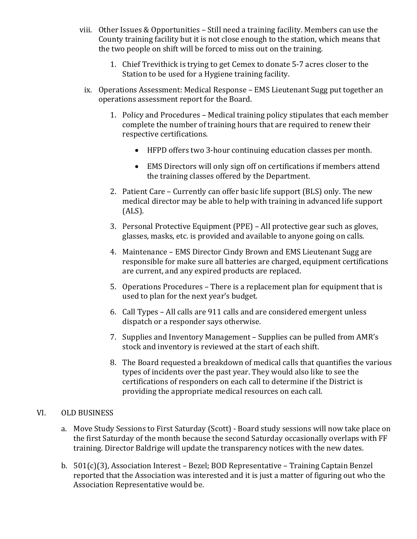- viii. Other Issues & Opportunities  $-$  Still need a training facility. Members can use the County training facility but it is not close enough to the station, which means that the two people on shift will be forced to miss out on the training.
	- 1. Chief Trevithick is trying to get Cemex to donate 5-7 acres closer to the Station to be used for a Hygiene training facility.
	- ix. Operations Assessment: Medical Response EMS Lieutenant Sugg put together an operations assessment report for the Board.
		- 1. Policy and Procedures Medical training policy stipulates that each member complete the number of training hours that are required to renew their respective certifications.
			- HFPD offers two 3-hour continuing education classes per month.
			- EMS Directors will only sign off on certifications if members attend the training classes offered by the Department.
		- 2. Patient Care Currently can offer basic life support (BLS) only. The new medical director may be able to help with training in advanced life support (ALS).
		- 3. Personal Protective Equipment (PPE) All protective gear such as gloves, glasses, masks, etc. is provided and available to anyone going on calls.
		- 4. Maintenance EMS Director Cindy Brown and EMS Lieutenant Sugg are responsible for make sure all batteries are charged, equipment certifications are current, and any expired products are replaced.
		- 5. Operations Procedures There is a replacement plan for equipment that is used to plan for the next year's budget.
		- 6. Call Types All calls are 911 calls and are considered emergent unless dispatch or a responder says otherwise.
		- 7. Supplies and Inventory Management Supplies can be pulled from AMR's stock and inventory is reviewed at the start of each shift.
		- 8. The Board requested a breakdown of medical calls that quantifies the various types of incidents over the past year. They would also like to see the certifications of responders on each call to determine if the District is providing the appropriate medical resources on each call.

#### VI. OLD BUSINESS

- a. Move Study Sessions to First Saturday (Scott) Board study sessions will now take place on the first Saturday of the month because the second Saturday occasionally overlaps with FF training. Director Baldrige will update the transparency notices with the new dates.
- b.  $501(c)(3)$ , Association Interest Bezel; BOD Representative Training Captain Benzel reported that the Association was interested and it is just a matter of figuring out who the Association Representative would be.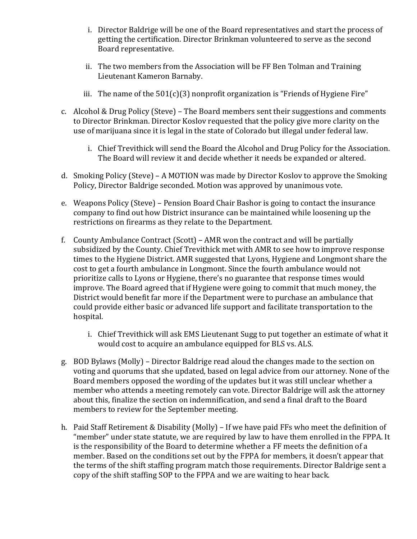- i. Director Baldrige will be one of the Board representatives and start the process of getting the certification. Director Brinkman volunteered to serve as the second Board representative.
- ii. The two members from the Association will be FF Ben Tolman and Training Lieutenant Kameron Barnaby.
- iii. The name of the  $501(c)(3)$  nonprofit organization is "Friends of Hygiene Fire"
- c. Alcohol & Drug Policy (Steve) The Board members sent their suggestions and comments to Director Brinkman. Director Koslov requested that the policy give more clarity on the use of marijuana since it is legal in the state of Colorado but illegal under federal law.
	- i. Chief Trevithick will send the Board the Alcohol and Drug Policy for the Association. The Board will review it and decide whether it needs be expanded or altered.
- d. Smoking Policy (Steve) A MOTION was made by Director Koslov to approve the Smoking Policy, Director Baldrige seconded. Motion was approved by unanimous vote.
- e. Weapons Policy (Steve) Pension Board Chair Bashor is going to contact the insurance company to find out how District insurance can be maintained while loosening up the restrictions on firearms as they relate to the Department.
- f. County Ambulance Contract  $(Scott) AMR$  won the contract and will be partially subsidized by the County. Chief Trevithick met with AMR to see how to improve response times to the Hygiene District. AMR suggested that Lyons, Hygiene and Longmont share the cost to get a fourth ambulance in Longmont. Since the fourth ambulance would not prioritize calls to Lyons or Hygiene, there's no guarantee that response times would improve. The Board agreed that if Hygiene were going to commit that much money, the District would benefit far more if the Department were to purchase an ambulance that could provide either basic or advanced life support and facilitate transportation to the hospital.
	- i. Chief Trevithick will ask EMS Lieutenant Sugg to put together an estimate of what it would cost to acquire an ambulance equipped for BLS vs. ALS.
- g. BOD Bylaws (Molly) Director Baldrige read aloud the changes made to the section on voting and quorums that she updated, based on legal advice from our attorney. None of the Board members opposed the wording of the updates but it was still unclear whether a member who attends a meeting remotely can vote. Director Baldrige will ask the attorney about this, finalize the section on indemnification, and send a final draft to the Board members to review for the September meeting.
- h. Paid Staff Retirement & Disability (Molly) If we have paid FFs who meet the definition of "member" under state statute, we are required by law to have them enrolled in the FPPA. It is the responsibility of the Board to determine whether a FF meets the definition of a member. Based on the conditions set out by the FPPA for members, it doesn't appear that the terms of the shift staffing program match those requirements. Director Baldrige sent a copy of the shift staffing SOP to the FPPA and we are waiting to hear back.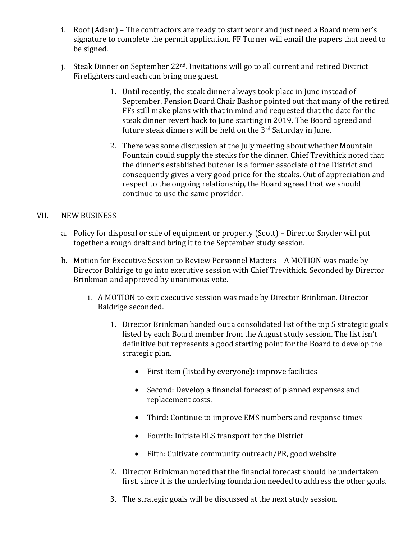- i. Roof (Adam) The contractors are ready to start work and just need a Board member's signature to complete the permit application. FF Turner will email the papers that need to be signed.
- i. Steak Dinner on September  $22<sup>nd</sup>$ . Invitations will go to all current and retired District Firefighters and each can bring one guest.
	- 1. Until recently, the steak dinner always took place in June instead of September. Pension Board Chair Bashor pointed out that many of the retired FFs still make plans with that in mind and requested that the date for the steak dinner revert back to June starting in 2019. The Board agreed and future steak dinners will be held on the  $3<sup>rd</sup>$  Saturday in June.
	- 2. There was some discussion at the July meeting about whether Mountain Fountain could supply the steaks for the dinner. Chief Trevithick noted that the dinner's established butcher is a former associate of the District and consequently gives a very good price for the steaks. Out of appreciation and respect to the ongoing relationship, the Board agreed that we should continue to use the same provider.

### VII. NEW BUSINESS

- a. Policy for disposal or sale of equipment or property (Scott) Director Snyder will put together a rough draft and bring it to the September study session.
- b. Motion for Executive Session to Review Personnel Matters A MOTION was made by Director Baldrige to go into executive session with Chief Trevithick. Seconded by Director Brinkman and approved by unanimous vote.
	- i. A MOTION to exit executive session was made by Director Brinkman. Director Baldrige seconded.
		- 1. Director Brinkman handed out a consolidated list of the top 5 strategic goals listed by each Board member from the August study session. The list isn't definitive but represents a good starting point for the Board to develop the strategic plan.
			- First item (listed by everyone): improve facilities
			- Second: Develop a financial forecast of planned expenses and replacement costs.
			- Third: Continue to improve EMS numbers and response times
			- Fourth: Initiate BLS transport for the District
			- Fifth: Cultivate community outreach/PR, good website
		- 2. Director Brinkman noted that the financial forecast should be undertaken first, since it is the underlying foundation needed to address the other goals.
		- 3. The strategic goals will be discussed at the next study session.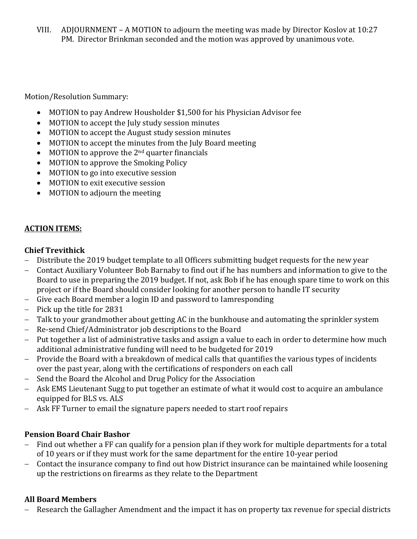VIII. ADJOURNMENT – A MOTION to adjourn the meeting was made by Director Koslov at 10:27 PM. Director Brinkman seconded and the motion was approved by unanimous vote.

Motion/Resolution Summary:

- MOTION to pay Andrew Housholder \$1,500 for his Physician Advisor fee
- MOTION to accept the July study session minutes
- MOTION to accept the August study session minutes
- MOTION to accept the minutes from the July Board meeting
- MOTION to approve the  $2<sup>nd</sup>$  quarter financials
- MOTION to approve the Smoking Policy
- MOTION to go into executive session
- MOTION to exit executive session
- MOTION to adjourn the meeting

## **ACTION ITEMS:**

## **Chief Trevithick**

- Distribute the 2019 budget template to all Officers submitting budget requests for the new year
- Contact Auxiliary Volunteer Bob Barnaby to find out if he has numbers and information to give to the Board to use in preparing the 2019 budget. If not, ask Bob if he has enough spare time to work on this project or if the Board should consider looking for another person to handle IT security
- Give each Board member a login ID and password to Iamresponding
- $-$  Pick up the title for 2831
- Talk to your grandmother about getting AC in the bunkhouse and automating the sprinkler system
- Re-send Chief/Administrator job descriptions to the Board
- Put together a list of administrative tasks and assign a value to each in order to determine how much additional administrative funding will need to be budgeted for 2019
- Provide the Board with a breakdown of medical calls that quantifies the various types of incidents over the past year, along with the certifications of responders on each call
- Send the Board the Alcohol and Drug Policy for the Association
- Ask EMS Lieutenant Sugg to put together an estimate of what it would cost to acquire an ambulance equipped for BLS vs. ALS
- $-$  Ask FF Turner to email the signature papers needed to start roof repairs

## **Pension Board Chair Bashor**

- Find out whether a FF can qualify for a pension plan if they work for multiple departments for a total of 10 years or if they must work for the same department for the entire 10-year period
- Contact the insurance company to find out how District insurance can be maintained while loosening up the restrictions on firearms as they relate to the Department

## **All Board Members**

Research the Gallagher Amendment and the impact it has on property tax revenue for special districts